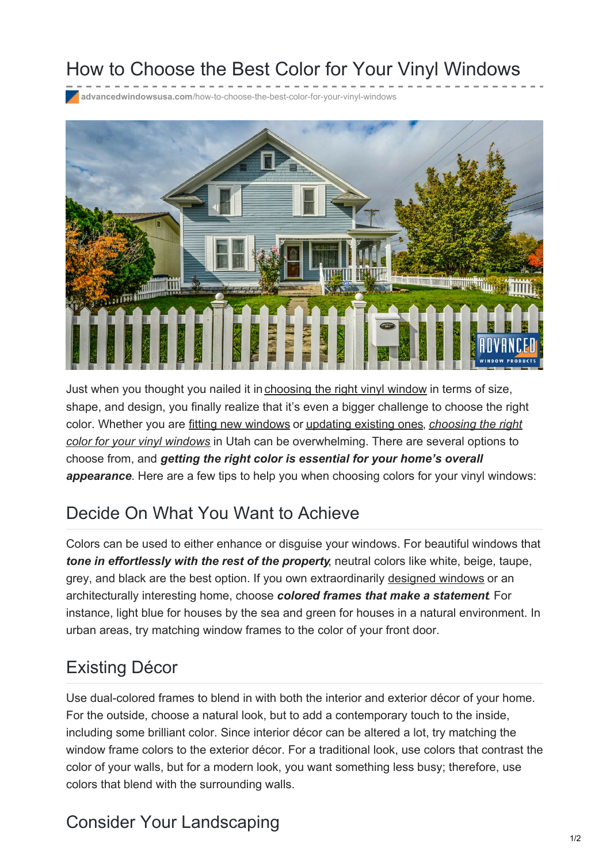# How to Choose the Best Color for Your Vinyl Windows

**advancedwindowsusa.com**[/how-to-choose-the-best-color-for-your-vinyl-windows](https://advancedwindowsusa.com/how-to-choose-the-best-color-for-your-vinyl-windows)



Just when you thought you nailed it in [choosing](https://advancedwindowsusa.com/how-select-window-operating-styles-fit-space/) the right vinyl window in terms of size, shape, and design, you finally realize that it's even a bigger challenge to choose the right color. Whether you are fitting new [windows](https://advancedwindowsusa.com/windows/utah-window-replacement-installation) or [updating](https://advancedwindowsusa.com/window-installation-process) existing ones, *choosing the right color for your vinyl windows* in Utah can be [overwhelming.](https://advancedwindowsusa.com/vinyl-window-frame-colors) There are several options to choose from, and *getting the right color is essential for your home's overall appearance*. Here are a few tips to help you when choosing colors for your vinyl windows:

## Decide On What You Want to Achieve

Colors can be used to either enhance or disguise your windows. For beautiful windows that *tone in effortlessly with the rest of the property*, neutral colors like white, beige, taupe, grey, and black are the best option. If you own extraordinarily [designed](https://advancedwindowsusa.com/custom-shaped-windows) windows or an architecturally interesting home, choose *colored frames that make a statement*. For instance, light blue for houses by the sea and green for houses in a natural environment. In urban areas, try matching window frames to the color of your front door.

#### Existing Décor

Use dual-colored frames to blend in with both the interior and exterior décor of your home. For the outside, choose a natural look, but to add a contemporary touch to the inside, including some brilliant color. Since interior décor can be altered a lot, try matching the window frame colors to the exterior décor. For a traditional look, use colors that contrast the color of your walls, but for a modern look, you want something less busy; therefore, use colors that blend with the surrounding walls.

# Consider Your Landscaping